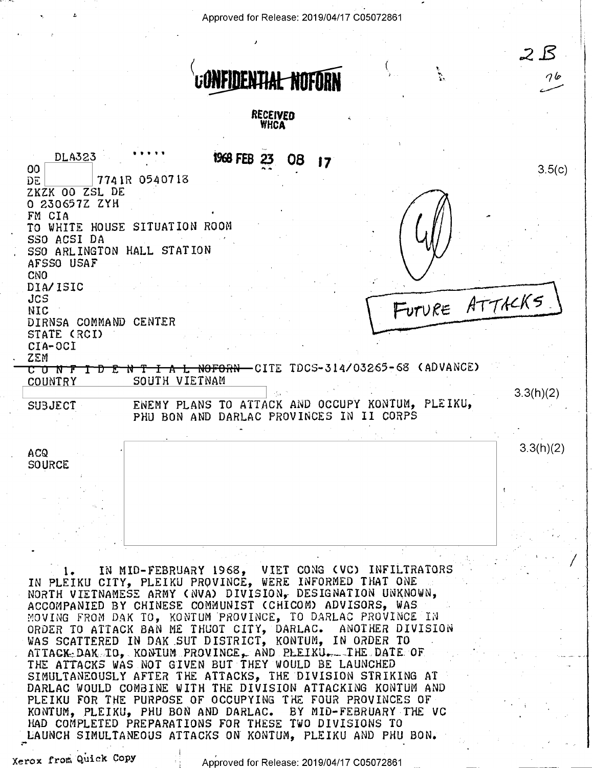Approved for Release: 2019/04/17 C05072861



VIET CONG (VC) INFILTRATORS IN MID-FEBRUARY 1968, IN PLEIKU CITY, PLEIKU PROVINCÉ, WERE INFORMED THAT ONE NORTH VIETNAMESE ARMY (NVA) DIVISION, DESIGNATION UNKNOWN, ACCOMPANIED BY CHINESE COMMUNIST (CHICOM) ADVISORS, WAS MOVING FROM DAK TO, KONTUM PROVINCE, TO DARLAC PROVINCE IN ORDER TO ATTACK BAN ME THUOT CITY, DARLAC. ANOTHER DI<br>WAS SCATTERED IN DAK SUT DISTRICT, KONTUM, IN ORDER TO ANOTHER DIVISION ATTACK DAK TO. KONTUM PROVINCE, AND PLEIKU. THE DATE OF THE ATTACKS WAS NOT GIVEN BUT THEY WOULD BE LAUNCHED SIMULTANEOUSLY AFTER THE ATTACKS, THE DIVISION STRIKING AT DARLAC WOULD COMBINE WITH THE DIVISION ATTACKING KONTUM AND PLEIKU FOR THE PURPOSE OF OCCUPYING THE FOUR PROVINCES OF KONTUM, PLEIKU, PHU BON AND DARLAC. BY MID-FEBRUARY THE VC HAD COMPLETED PREPARATIONS FOR THESE TWO DIVISIONS TO LAUNCH SIMULTANEOUS ATTACKS ON KONTUM, PLEIKU AND PHU BON.

Xerox from Quick Copy

Approved for Release: 2019/04/17 C05072861